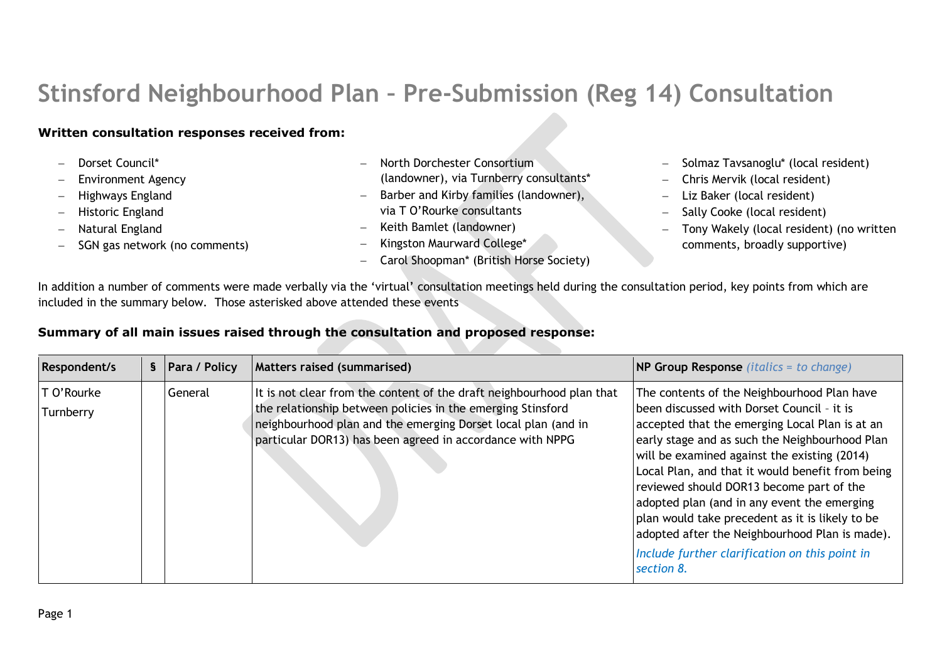## **Stinsford Neighbourhood Plan – Pre-Submission (Reg 14) Consultation**

## **Written consultation responses received from:**

- − Dorset Council\*
- − Environment Agency
- − Highways England
- − Historic England
- − Natural England
- − SGN gas network (no comments)
- − North Dorchester Consortium (landowner), via Turnberry consultants\*
- Barber and Kirby families (landowner), via T O'Rourke consultants
- − Keith Bamlet (landowner)
- − Kingston Maurward College\*
- − Carol Shoopman\* (British Horse Society)
- − Solmaz Tavsanoglu\* (local resident)
- − Chris Mervik (local resident)
- − Liz Baker (local resident)
- − Sally Cooke (local resident)
- Tony Wakely (local resident) (no written comments, broadly supportive)

In addition a number of comments were made verbally via the 'virtual' consultation meetings held during the consultation period, key points from which are included in the summary below. Those asterisked above attended these events

## **Summary of all main issues raised through the consultation and proposed response:**

| <b>Respondent/s</b>     | §   Para / Policy | <b>Matters raised (summarised)</b>                                                                                                                                                                                                                                 | <b>NP Group Response</b> <i>(italics = to change)</i>                                                                                                                                                                                                                                                                                                                                                                                                                                                                                                             |
|-------------------------|-------------------|--------------------------------------------------------------------------------------------------------------------------------------------------------------------------------------------------------------------------------------------------------------------|-------------------------------------------------------------------------------------------------------------------------------------------------------------------------------------------------------------------------------------------------------------------------------------------------------------------------------------------------------------------------------------------------------------------------------------------------------------------------------------------------------------------------------------------------------------------|
| T O'Rourke<br>Turnberry | General           | It is not clear from the content of the draft neighbourhood plan that<br>the relationship between policies in the emerging Stinsford<br>neighbourhood plan and the emerging Dorset local plan (and in<br>particular DOR13) has been agreed in accordance with NPPG | The contents of the Neighbourhood Plan have<br>been discussed with Dorset Council - it is<br>accepted that the emerging Local Plan is at an<br>early stage and as such the Neighbourhood Plan<br>will be examined against the existing (2014)<br>Local Plan, and that it would benefit from being<br>reviewed should DOR13 become part of the<br>adopted plan (and in any event the emerging<br>plan would take precedent as it is likely to be<br>adopted after the Neighbourhood Plan is made).<br>Include further clarification on this point in<br>section 8. |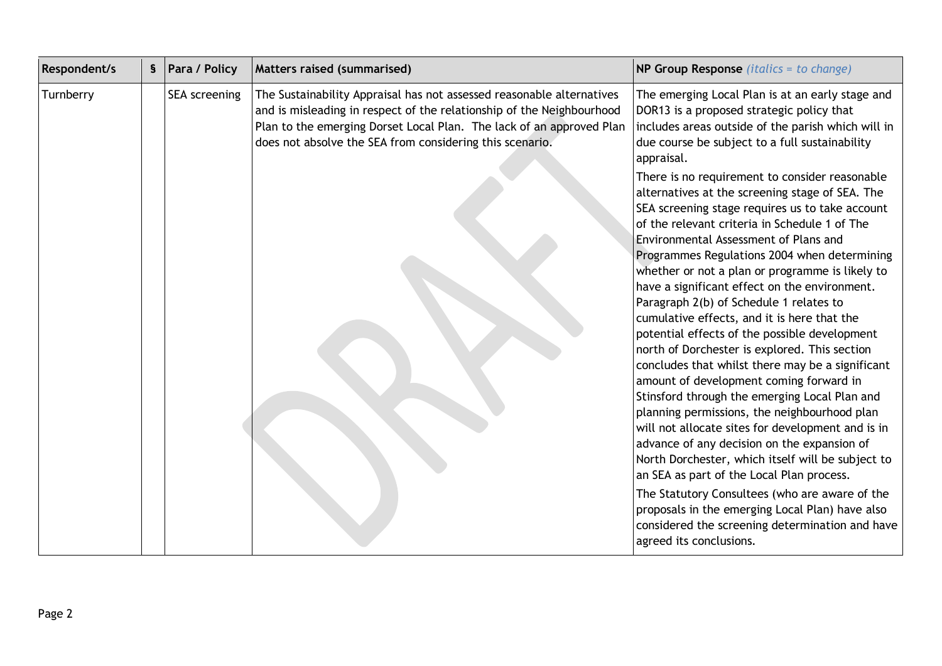| Respondent/s | S | Para / Policy | Matters raised (summarised)                                                                                                                                                                                                                                                        | <b>NP Group Response</b> ( <i>italics</i> = to change)                                                                                                                                                                                                                                                                                                                                                                                                                                                                                                                                                                                                                                                                                                                                                                                                                                                                                                                |
|--------------|---|---------------|------------------------------------------------------------------------------------------------------------------------------------------------------------------------------------------------------------------------------------------------------------------------------------|-----------------------------------------------------------------------------------------------------------------------------------------------------------------------------------------------------------------------------------------------------------------------------------------------------------------------------------------------------------------------------------------------------------------------------------------------------------------------------------------------------------------------------------------------------------------------------------------------------------------------------------------------------------------------------------------------------------------------------------------------------------------------------------------------------------------------------------------------------------------------------------------------------------------------------------------------------------------------|
| Turnberry    |   | SEA screening | The Sustainability Appraisal has not assessed reasonable alternatives<br>and is misleading in respect of the relationship of the Neighbourhood<br>Plan to the emerging Dorset Local Plan. The lack of an approved Plan<br>does not absolve the SEA from considering this scenario. | The emerging Local Plan is at an early stage and<br>DOR13 is a proposed strategic policy that<br>includes areas outside of the parish which will in<br>due course be subject to a full sustainability<br>appraisal.<br>There is no requirement to consider reasonable<br>alternatives at the screening stage of SEA. The<br>SEA screening stage requires us to take account<br>of the relevant criteria in Schedule 1 of The<br>Environmental Assessment of Plans and<br>Programmes Regulations 2004 when determining<br>whether or not a plan or programme is likely to<br>have a significant effect on the environment.<br>Paragraph 2(b) of Schedule 1 relates to<br>cumulative effects, and it is here that the<br>potential effects of the possible development<br>north of Dorchester is explored. This section<br>concludes that whilst there may be a significant<br>amount of development coming forward in<br>Stinsford through the emerging Local Plan and |
|              |   |               |                                                                                                                                                                                                                                                                                    | planning permissions, the neighbourhood plan<br>will not allocate sites for development and is in<br>advance of any decision on the expansion of<br>North Dorchester, which itself will be subject to<br>an SEA as part of the Local Plan process.                                                                                                                                                                                                                                                                                                                                                                                                                                                                                                                                                                                                                                                                                                                    |
|              |   |               |                                                                                                                                                                                                                                                                                    | The Statutory Consultees (who are aware of the<br>proposals in the emerging Local Plan) have also<br>considered the screening determination and have<br>agreed its conclusions.                                                                                                                                                                                                                                                                                                                                                                                                                                                                                                                                                                                                                                                                                                                                                                                       |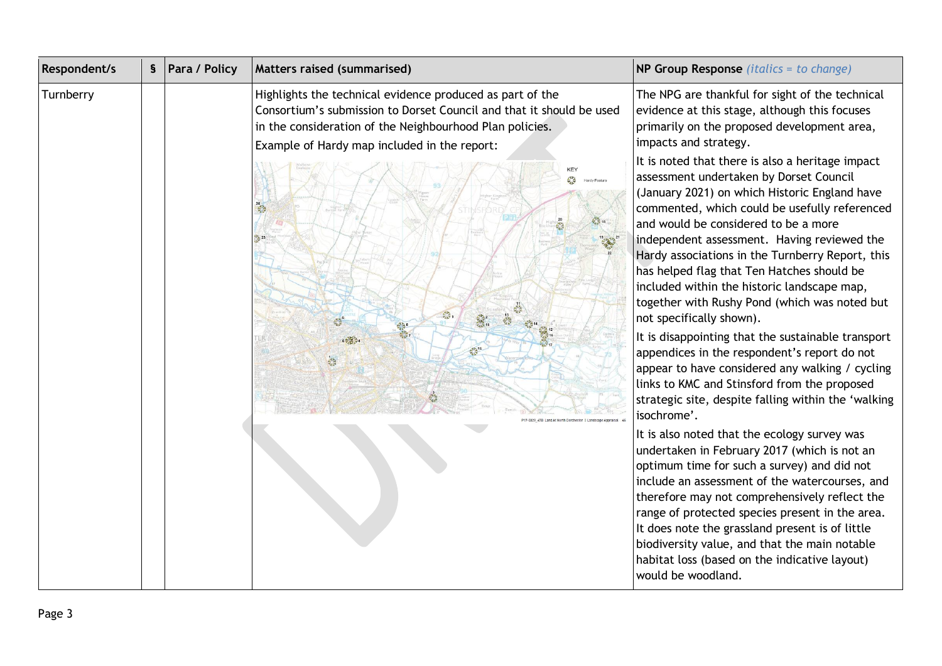| <b>Respondent/s</b> | § Para / Policy | Matters raised (summarised)                                                                                                                                                                                                                                                                                                                                                                          | <b>NP Group Response</b> ( <i>italics</i> = to change)                                                                                                                                                                                                                                                                                                                                                                                                                                                                                                                                                                                                                                                                                                                                                                                                                                                                                                                                                                                                                                                                                                                                                                                                                                                                                                                                                                                                        |
|---------------------|-----------------|------------------------------------------------------------------------------------------------------------------------------------------------------------------------------------------------------------------------------------------------------------------------------------------------------------------------------------------------------------------------------------------------------|---------------------------------------------------------------------------------------------------------------------------------------------------------------------------------------------------------------------------------------------------------------------------------------------------------------------------------------------------------------------------------------------------------------------------------------------------------------------------------------------------------------------------------------------------------------------------------------------------------------------------------------------------------------------------------------------------------------------------------------------------------------------------------------------------------------------------------------------------------------------------------------------------------------------------------------------------------------------------------------------------------------------------------------------------------------------------------------------------------------------------------------------------------------------------------------------------------------------------------------------------------------------------------------------------------------------------------------------------------------------------------------------------------------------------------------------------------------|
| Turnberry           |                 | Highlights the technical evidence produced as part of the<br>Consortium's submission to Dorset Council and that it should be used<br>in the consideration of the Neighbourhood Plan policies.<br>Example of Hardy map included in the report:<br><b>KEY</b><br>$\frac{1}{2}$<br>Hardy Feature<br>一个<br>$rac{20}{15}$<br>A 23<br>$\frac{1}{2}$<br>$-12^{5}$<br>$6 - \frac{321}{200}$<br>47/15<br>ATAN | The NPG are thankful for sight of the technical<br>evidence at this stage, although this focuses<br>primarily on the proposed development area,<br>impacts and strategy.<br>It is noted that there is also a heritage impact<br>assessment undertaken by Dorset Council<br>(January 2021) on which Historic England have<br>commented, which could be usefully referenced<br>and would be considered to be a more<br>independent assessment. Having reviewed the<br>Hardy associations in the Turnberry Report, this<br>has helped flag that Ten Hatches should be<br>included within the historic landscape map,<br>together with Rushy Pond (which was noted but<br>not specifically shown).<br>It is disappointing that the sustainable transport<br>appendices in the respondent's report do not<br>appear to have considered any walking / cycling<br>links to KMC and Stinsford from the proposed<br>strategic site, despite falling within the 'walking<br>isochrome'.<br>It is also noted that the ecology survey was<br>undertaken in February 2017 (which is not an<br>optimum time for such a survey) and did not<br>include an assessment of the watercourses, and<br>therefore may not comprehensively reflect the<br>range of protected species present in the area.<br>It does note the grassland present is of little<br>biodiversity value, and that the main notable<br>habitat loss (based on the indicative layout)<br>would be woodland. |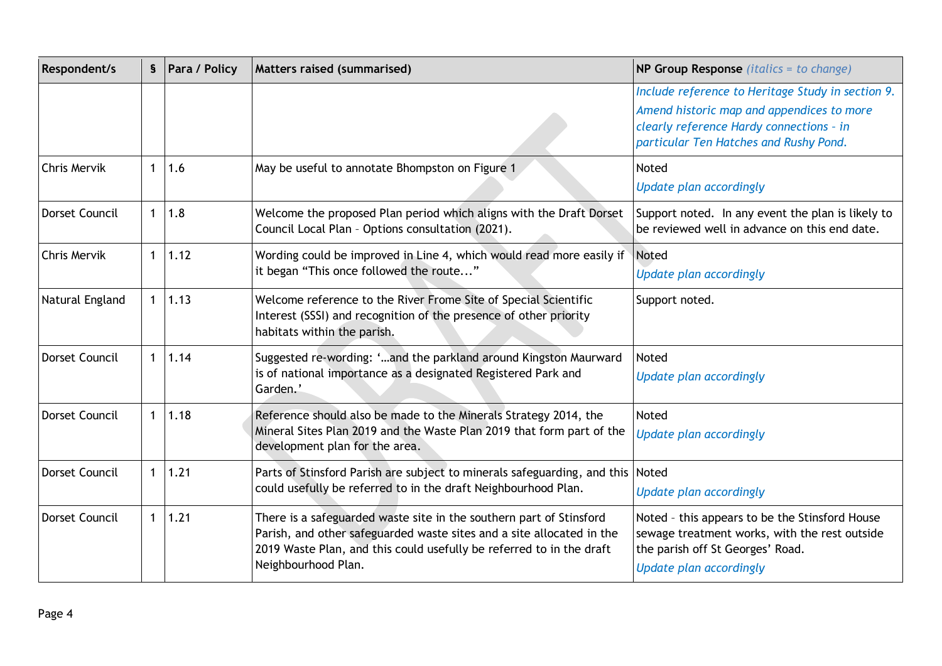| Respondent/s          | S            | Para / Policy | Matters raised (summarised)                                                                                                                                                                                                                 | $NP$ Group Response <i>(italics = to change)</i>                                                                                                                                     |
|-----------------------|--------------|---------------|---------------------------------------------------------------------------------------------------------------------------------------------------------------------------------------------------------------------------------------------|--------------------------------------------------------------------------------------------------------------------------------------------------------------------------------------|
|                       |              |               |                                                                                                                                                                                                                                             | Include reference to Heritage Study in section 9.<br>Amend historic map and appendices to more<br>clearly reference Hardy connections - in<br>particular Ten Hatches and Rushy Pond. |
| Chris Mervik          | $\mathbf{1}$ | 1.6           | May be useful to annotate Bhompston on Figure 1                                                                                                                                                                                             | Noted<br><b>Update plan accordingly</b>                                                                                                                                              |
| <b>Dorset Council</b> | $\mathbf{1}$ | 1.8           | Welcome the proposed Plan period which aligns with the Draft Dorset<br>Council Local Plan - Options consultation (2021).                                                                                                                    | Support noted. In any event the plan is likely to<br>be reviewed well in advance on this end date.                                                                                   |
| <b>Chris Mervik</b>   | 1            | 1.12          | Wording could be improved in Line 4, which would read more easily if<br>it began "This once followed the route"                                                                                                                             | Noted<br>Update plan accordingly                                                                                                                                                     |
| Natural England       | 1            | 1.13          | Welcome reference to the River Frome Site of Special Scientific<br>Interest (SSSI) and recognition of the presence of other priority<br>habitats within the parish.                                                                         | Support noted.                                                                                                                                                                       |
| Dorset Council        | 1            | 1.14          | Suggested re-wording: 'and the parkland around Kingston Maurward<br>is of national importance as a designated Registered Park and<br>Garden.'                                                                                               | Noted<br>Update plan accordingly                                                                                                                                                     |
| Dorset Council        | 1            | 1.18          | Reference should also be made to the Minerals Strategy 2014, the<br>Mineral Sites Plan 2019 and the Waste Plan 2019 that form part of the<br>development plan for the area.                                                                 | Noted<br>Update plan accordingly                                                                                                                                                     |
| <b>Dorset Council</b> | $\mathbf 1$  | 1.21          | Parts of Stinsford Parish are subject to minerals safeguarding, and this Noted<br>could usefully be referred to in the draft Neighbourhood Plan.                                                                                            | Update plan accordingly                                                                                                                                                              |
| <b>Dorset Council</b> | $\mathbf{1}$ | 1.21          | There is a safeguarded waste site in the southern part of Stinsford<br>Parish, and other safeguarded waste sites and a site allocated in the<br>2019 Waste Plan, and this could usefully be referred to in the draft<br>Neighbourhood Plan. | Noted - this appears to be the Stinsford House<br>sewage treatment works, with the rest outside<br>the parish off St Georges' Road.<br>Update plan accordingly                       |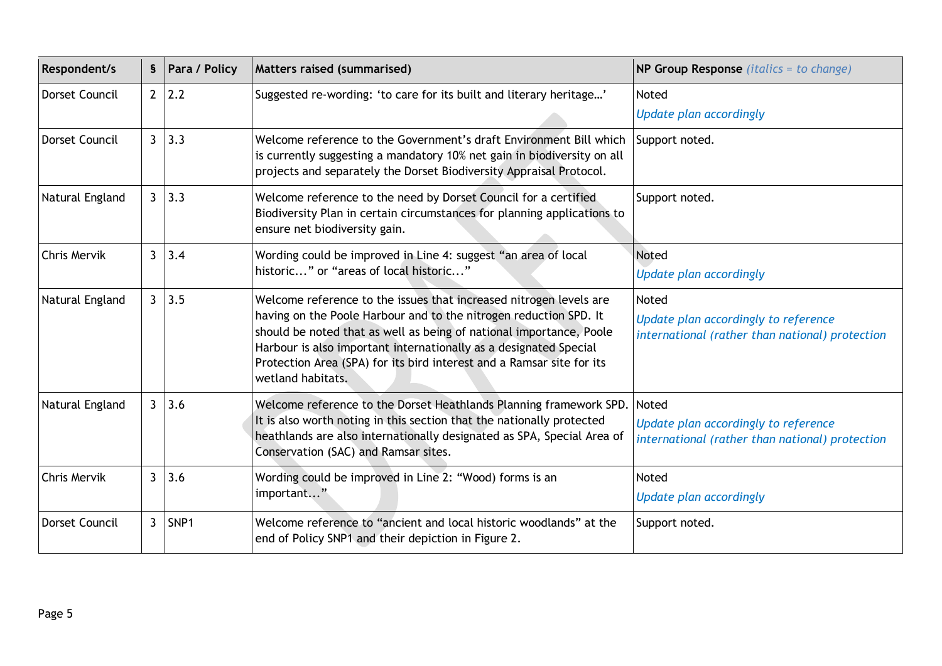| Respondent/s          | S              | Para / Policy | Matters raised (summarised)                                                                                                                                                                                                                                                                                                                                                       | <b>NP Group Response</b> ( <i>italics</i> = to change)                                           |
|-----------------------|----------------|---------------|-----------------------------------------------------------------------------------------------------------------------------------------------------------------------------------------------------------------------------------------------------------------------------------------------------------------------------------------------------------------------------------|--------------------------------------------------------------------------------------------------|
| Dorset Council        | $2^{\circ}$    | 2.2           | Suggested re-wording: 'to care for its built and literary heritage'                                                                                                                                                                                                                                                                                                               | Noted<br>Update plan accordingly                                                                 |
| <b>Dorset Council</b> | $\mathbf{3}$   | 3.3           | Welcome reference to the Government's draft Environment Bill which<br>is currently suggesting a mandatory 10% net gain in biodiversity on all<br>projects and separately the Dorset Biodiversity Appraisal Protocol.                                                                                                                                                              | Support noted.                                                                                   |
| Natural England       | $\mathbf{3}$   | 3.3           | Welcome reference to the need by Dorset Council for a certified<br>Biodiversity Plan in certain circumstances for planning applications to<br>ensure net biodiversity gain.                                                                                                                                                                                                       | Support noted.                                                                                   |
| Chris Mervik          | $\mathbf{3}$   | 3.4           | Wording could be improved in Line 4: suggest "an area of local<br>historic" or "areas of local historic"                                                                                                                                                                                                                                                                          | <b>Noted</b><br><b>Update plan accordingly</b>                                                   |
| Natural England       | $\mathbf{3}$   | 3.5           | Welcome reference to the issues that increased nitrogen levels are<br>having on the Poole Harbour and to the nitrogen reduction SPD. It<br>should be noted that as well as being of national importance, Poole<br>Harbour is also important internationally as a designated Special<br>Protection Area (SPA) for its bird interest and a Ramsar site for its<br>wetland habitats. | Noted<br>Update plan accordingly to reference<br>international (rather than national) protection |
| Natural England       | $\mathbf{3}$   | 3.6           | Welcome reference to the Dorset Heathlands Planning framework SPD. Noted<br>It is also worth noting in this section that the nationally protected<br>heathlands are also internationally designated as SPA, Special Area of<br>Conservation (SAC) and Ramsar sites.                                                                                                               | Update plan accordingly to reference<br>international (rather than national) protection          |
| Chris Mervik          | $\overline{3}$ | 3.6           | Wording could be improved in Line 2: "Wood) forms is an<br>important"                                                                                                                                                                                                                                                                                                             | Noted<br><b>Update plan accordingly</b>                                                          |
| <b>Dorset Council</b> | 3              | SNP1          | Welcome reference to "ancient and local historic woodlands" at the<br>end of Policy SNP1 and their depiction in Figure 2.                                                                                                                                                                                                                                                         | Support noted.                                                                                   |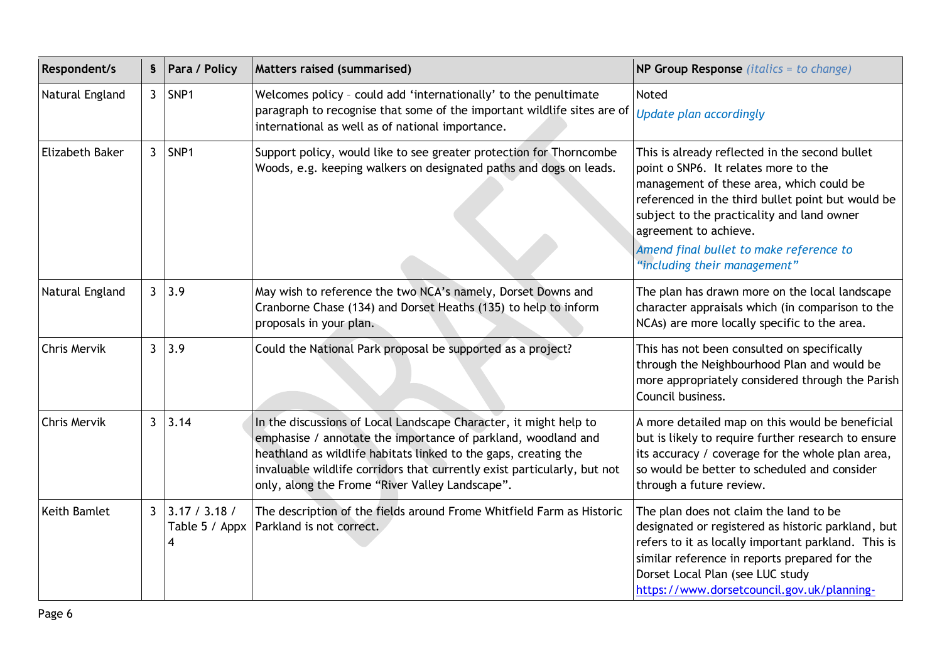| <b>Respondent/s</b> | S              | Para / Policy                        | Matters raised (summarised)                                                                                                                                                                                                                                                                                                          | <b>NP Group Response</b> ( <i>italics</i> = to change)                                                                                                                                                                                                                                                                                    |
|---------------------|----------------|--------------------------------------|--------------------------------------------------------------------------------------------------------------------------------------------------------------------------------------------------------------------------------------------------------------------------------------------------------------------------------------|-------------------------------------------------------------------------------------------------------------------------------------------------------------------------------------------------------------------------------------------------------------------------------------------------------------------------------------------|
| Natural England     | 3              | SNP1                                 | Welcomes policy - could add 'internationally' to the penultimate<br>paragraph to recognise that some of the important wildlife sites are of<br>international as well as of national importance.                                                                                                                                      | Noted<br>Update plan accordingly                                                                                                                                                                                                                                                                                                          |
| Elizabeth Baker     | 3              | SNP1                                 | Support policy, would like to see greater protection for Thorncombe<br>Woods, e.g. keeping walkers on designated paths and dogs on leads.                                                                                                                                                                                            | This is already reflected in the second bullet<br>point o SNP6. It relates more to the<br>management of these area, which could be<br>referenced in the third bullet point but would be<br>subject to the practicality and land owner<br>agreement to achieve.<br>Amend final bullet to make reference to<br>"including their management" |
| Natural England     | $\mathbf{3}$   | 3.9                                  | May wish to reference the two NCA's namely, Dorset Downs and<br>Cranborne Chase (134) and Dorset Heaths (135) to help to inform<br>proposals in your plan.                                                                                                                                                                           | The plan has drawn more on the local landscape<br>character appraisals which (in comparison to the<br>NCAs) are more locally specific to the area.                                                                                                                                                                                        |
| Chris Mervik        | $\overline{3}$ | 3.9                                  | Could the National Park proposal be supported as a project?                                                                                                                                                                                                                                                                          | This has not been consulted on specifically<br>through the Neighbourhood Plan and would be<br>more appropriately considered through the Parish<br>Council business.                                                                                                                                                                       |
| Chris Mervik        | $\overline{3}$ | 3.14                                 | In the discussions of Local Landscape Character, it might help to<br>emphasise / annotate the importance of parkland, woodland and<br>heathland as wildlife habitats linked to the gaps, creating the<br>invaluable wildlife corridors that currently exist particularly, but not<br>only, along the Frome "River Valley Landscape". | A more detailed map on this would be beneficial<br>but is likely to require further research to ensure<br>its accuracy / coverage for the whole plan area,<br>so would be better to scheduled and consider<br>through a future review.                                                                                                    |
| Keith Bamlet        | $\mathbf{3}$   | 3.17 / 3.18 /<br>Table 5 / Appx<br>4 | The description of the fields around Frome Whitfield Farm as Historic<br>Parkland is not correct.                                                                                                                                                                                                                                    | The plan does not claim the land to be<br>designated or registered as historic parkland, but<br>refers to it as locally important parkland. This is<br>similar reference in reports prepared for the<br>Dorset Local Plan (see LUC study<br>https://www.dorsetcouncil.gov.uk/planning-                                                    |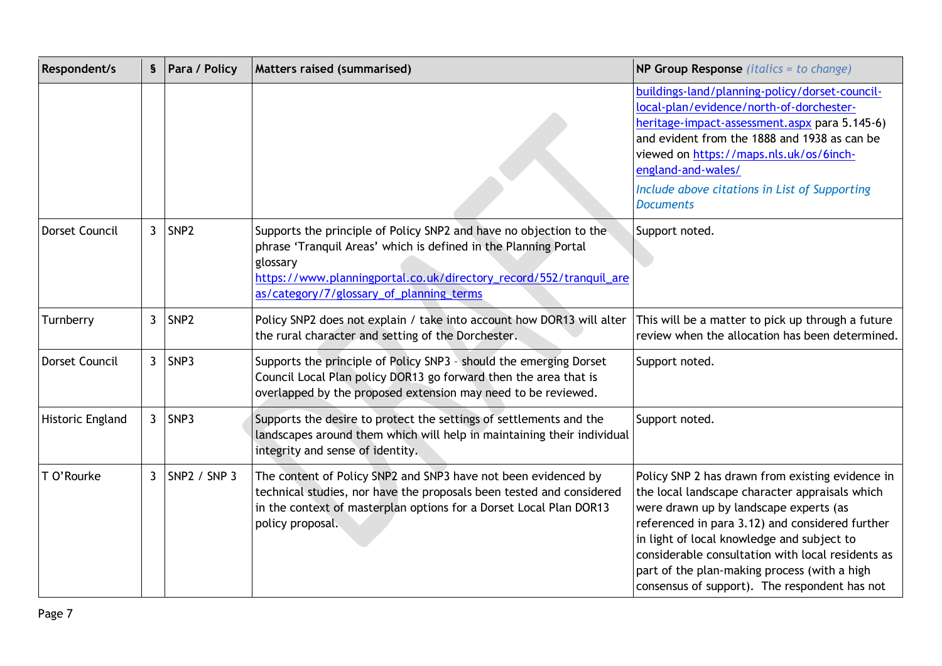| Respondent/s     |              | § Para / Policy     | <b>Matters raised (summarised)</b>                                                                                                                                                                                                                                  | <b>NP Group Response</b> <i>(italics = to change)</i>                                                                                                                                                                                                                                                                                                                                               |
|------------------|--------------|---------------------|---------------------------------------------------------------------------------------------------------------------------------------------------------------------------------------------------------------------------------------------------------------------|-----------------------------------------------------------------------------------------------------------------------------------------------------------------------------------------------------------------------------------------------------------------------------------------------------------------------------------------------------------------------------------------------------|
|                  |              |                     |                                                                                                                                                                                                                                                                     | buildings-land/planning-policy/dorset-council-<br>local-plan/evidence/north-of-dorchester-<br>heritage-impact-assessment.aspx para 5.145-6)<br>and evident from the 1888 and 1938 as can be<br>viewed on https://maps.nls.uk/os/6inch-<br>england-and-wales/<br>Include above citations in List of Supporting<br><b>Documents</b>                                                                   |
| Dorset Council   | $\mathbf{3}$ | SNP <sub>2</sub>    | Supports the principle of Policy SNP2 and have no objection to the<br>phrase 'Tranquil Areas' which is defined in the Planning Portal<br>glossary<br>https://www.planningportal.co.uk/directory_record/552/tranquil_are<br>as/category/7/glossary_of_planning_terms | Support noted.                                                                                                                                                                                                                                                                                                                                                                                      |
| Turnberry        | $\mathbf{3}$ | SNP <sub>2</sub>    | Policy SNP2 does not explain / take into account how DOR13 will alter<br>the rural character and setting of the Dorchester.                                                                                                                                         | This will be a matter to pick up through a future<br>review when the allocation has been determined.                                                                                                                                                                                                                                                                                                |
| Dorset Council   | $\mathbf{3}$ | SNP3                | Supports the principle of Policy SNP3 - should the emerging Dorset<br>Council Local Plan policy DOR13 go forward then the area that is<br>overlapped by the proposed extension may need to be reviewed.                                                             | Support noted.                                                                                                                                                                                                                                                                                                                                                                                      |
| Historic England | $\mathbf{3}$ | SNP3                | Supports the desire to protect the settings of settlements and the<br>landscapes around them which will help in maintaining their individual<br>integrity and sense of identity.                                                                                    | Support noted.                                                                                                                                                                                                                                                                                                                                                                                      |
| T O'Rourke       | $\mathbf{3}$ | <b>SNP2 / SNP 3</b> | The content of Policy SNP2 and SNP3 have not been evidenced by<br>technical studies, nor have the proposals been tested and considered<br>in the context of masterplan options for a Dorset Local Plan DOR13<br>policy proposal.                                    | Policy SNP 2 has drawn from existing evidence in<br>the local landscape character appraisals which<br>were drawn up by landscape experts (as<br>referenced in para 3.12) and considered further<br>in light of local knowledge and subject to<br>considerable consultation with local residents as<br>part of the plan-making process (with a high<br>consensus of support). The respondent has not |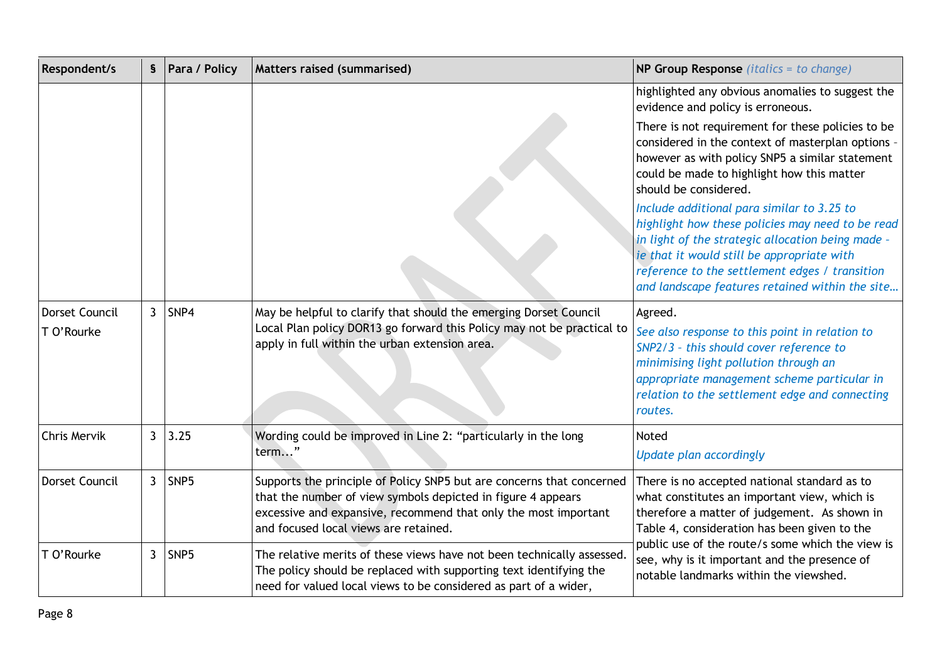| Respondent/s                 | S              | Para / Policy | Matters raised (summarised)                                                                                                                                                                                                                       | <b>NP Group Response</b> ( <i>italics</i> = to change)                                                                                                                                                                                                                                                                                     |
|------------------------------|----------------|---------------|---------------------------------------------------------------------------------------------------------------------------------------------------------------------------------------------------------------------------------------------------|--------------------------------------------------------------------------------------------------------------------------------------------------------------------------------------------------------------------------------------------------------------------------------------------------------------------------------------------|
|                              |                |               |                                                                                                                                                                                                                                                   | highlighted any obvious anomalies to suggest the<br>evidence and policy is erroneous.                                                                                                                                                                                                                                                      |
|                              |                |               |                                                                                                                                                                                                                                                   | There is not requirement for these policies to be<br>considered in the context of masterplan options -<br>however as with policy SNP5 a similar statement<br>could be made to highlight how this matter<br>should be considered.                                                                                                           |
|                              |                |               |                                                                                                                                                                                                                                                   | Include additional para similar to 3.25 to<br>highlight how these policies may need to be read<br>in light of the strategic allocation being made -<br>ie that it would still be appropriate with<br>reference to the settlement edges / transition<br>and landscape features retained within the site                                     |
| Dorset Council<br>T O'Rourke | 3 <sup>1</sup> | SNP4          | May be helpful to clarify that should the emerging Dorset Council<br>Local Plan policy DOR13 go forward this Policy may not be practical to<br>apply in full within the urban extension area.                                                     | Agreed.<br>See also response to this point in relation to<br>SNP2/3 - this should cover reference to<br>minimising light pollution through an<br>appropriate management scheme particular in<br>relation to the settlement edge and connecting<br>routes.                                                                                  |
| <b>Chris Mervik</b>          | $\mathbf{3}$   | 3.25          | Wording could be improved in Line 2: "particularly in the long<br>term"                                                                                                                                                                           | Noted<br><b>Update plan accordingly</b>                                                                                                                                                                                                                                                                                                    |
| <b>Dorset Council</b>        |                | $3$ SNP5      | Supports the principle of Policy SNP5 but are concerns that concerned<br>that the number of view symbols depicted in figure 4 appears<br>excessive and expansive, recommend that only the most important<br>and focused local views are retained. | There is no accepted national standard as to<br>what constitutes an important view, which is<br>therefore a matter of judgement. As shown in<br>Table 4, consideration has been given to the<br>public use of the route/s some which the view is<br>see, why is it important and the presence of<br>notable landmarks within the viewshed. |
| T O'Rourke                   |                | $3$ SNP5      | The relative merits of these views have not been technically assessed.<br>The policy should be replaced with supporting text identifying the<br>need for valued local views to be considered as part of a wider,                                  |                                                                                                                                                                                                                                                                                                                                            |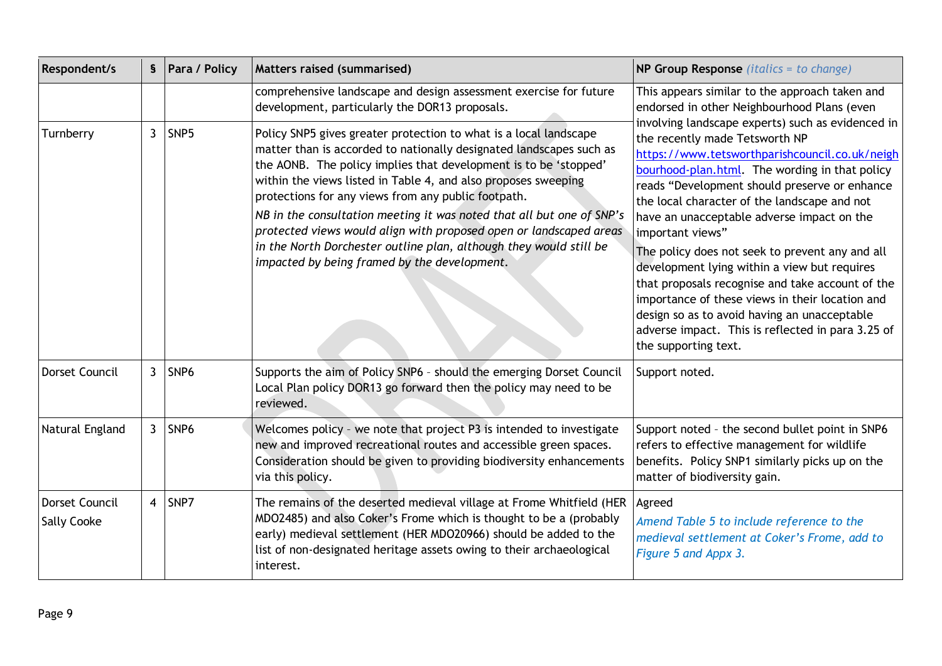| Respondent/s                         | S              | Para / Policy    | <b>Matters raised (summarised)</b>                                                                                                                                                                                                                                                                                                                                                                                                                                                                                                                                                                         | <b>NP Group Response</b> ( <i>italics</i> = to change)                                                                                                                                                                                                                                                                                                                                                                                                                                                                                                                                                                                                                                                                                                                                             |
|--------------------------------------|----------------|------------------|------------------------------------------------------------------------------------------------------------------------------------------------------------------------------------------------------------------------------------------------------------------------------------------------------------------------------------------------------------------------------------------------------------------------------------------------------------------------------------------------------------------------------------------------------------------------------------------------------------|----------------------------------------------------------------------------------------------------------------------------------------------------------------------------------------------------------------------------------------------------------------------------------------------------------------------------------------------------------------------------------------------------------------------------------------------------------------------------------------------------------------------------------------------------------------------------------------------------------------------------------------------------------------------------------------------------------------------------------------------------------------------------------------------------|
|                                      |                |                  | comprehensive landscape and design assessment exercise for future<br>development, particularly the DOR13 proposals.                                                                                                                                                                                                                                                                                                                                                                                                                                                                                        | This appears similar to the approach taken and<br>endorsed in other Neighbourhood Plans (even<br>involving landscape experts) such as evidenced in<br>the recently made Tetsworth NP<br>https://www.tetsworthparishcouncil.co.uk/neigh<br>bourhood-plan.html. The wording in that policy<br>reads "Development should preserve or enhance<br>the local character of the landscape and not<br>have an unacceptable adverse impact on the<br>important views"<br>The policy does not seek to prevent any and all<br>development lying within a view but requires<br>that proposals recognise and take account of the<br>importance of these views in their location and<br>design so as to avoid having an unacceptable<br>adverse impact. This is reflected in para 3.25 of<br>the supporting text. |
| Turnberry                            | $\mathbf{3}$   | SNP <sub>5</sub> | Policy SNP5 gives greater protection to what is a local landscape<br>matter than is accorded to nationally designated landscapes such as<br>the AONB. The policy implies that development is to be 'stopped'<br>within the views listed in Table 4, and also proposes sweeping<br>protections for any views from any public footpath.<br>NB in the consultation meeting it was noted that all but one of SNP's<br>protected views would align with proposed open or landscaped areas<br>in the North Dorchester outline plan, although they would still be<br>impacted by being framed by the development. |                                                                                                                                                                                                                                                                                                                                                                                                                                                                                                                                                                                                                                                                                                                                                                                                    |
| <b>Dorset Council</b>                | $\mathbf{3}$   | SNP <sub>6</sub> | Supports the aim of Policy SNP6 - should the emerging Dorset Council<br>Local Plan policy DOR13 go forward then the policy may need to be<br>reviewed.                                                                                                                                                                                                                                                                                                                                                                                                                                                     | Support noted.                                                                                                                                                                                                                                                                                                                                                                                                                                                                                                                                                                                                                                                                                                                                                                                     |
| Natural England                      | $\mathbf{3}$   | SNP <sub>6</sub> | Welcomes policy - we note that project P3 is intended to investigate<br>new and improved recreational routes and accessible green spaces.<br>Consideration should be given to providing biodiversity enhancements<br>via this policy.                                                                                                                                                                                                                                                                                                                                                                      | Support noted - the second bullet point in SNP6<br>refers to effective management for wildlife<br>benefits. Policy SNP1 similarly picks up on the<br>matter of biodiversity gain.                                                                                                                                                                                                                                                                                                                                                                                                                                                                                                                                                                                                                  |
| Dorset Council<br><b>Sally Cooke</b> | $\overline{4}$ | SNP7             | The remains of the deserted medieval village at Frome Whitfield (HER<br>MDO2485) and also Coker's Frome which is thought to be a (probably<br>early) medieval settlement (HER MDO20966) should be added to the<br>list of non-designated heritage assets owing to their archaeological<br>interest.                                                                                                                                                                                                                                                                                                        | Agreed<br>Amend Table 5 to include reference to the<br>medieval settlement at Coker's Frome, add to<br>Figure 5 and Appx 3.                                                                                                                                                                                                                                                                                                                                                                                                                                                                                                                                                                                                                                                                        |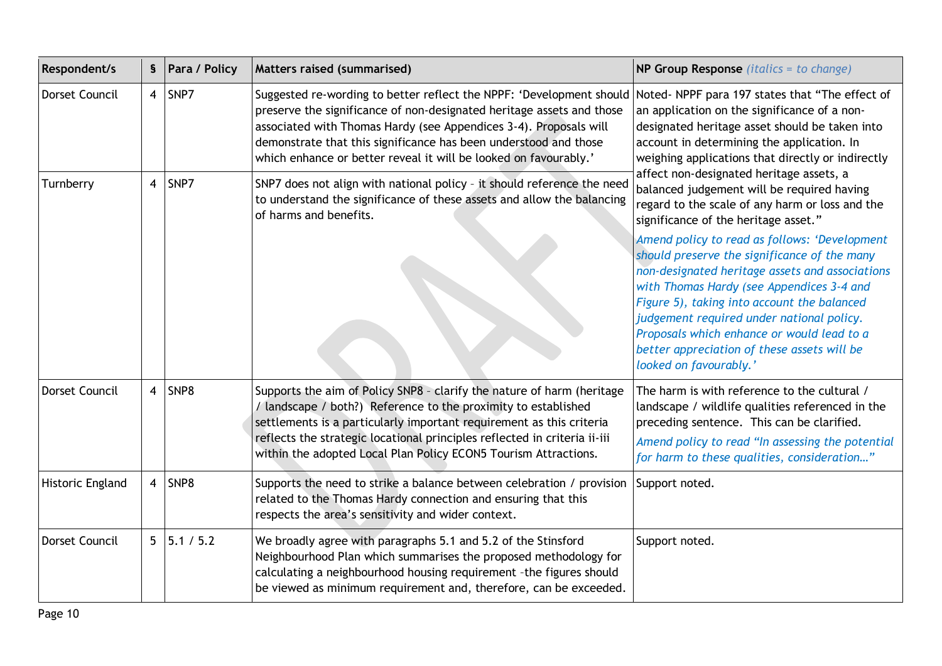| Respondent/s          | S              | Para / Policy | Matters raised (summarised)                                                                                                                                                                                                                                                                                                                                      | <b>NP Group Response</b> ( <i>italics</i> = to change)                                                                                                                                                                                                                                                                                                                                                           |
|-----------------------|----------------|---------------|------------------------------------------------------------------------------------------------------------------------------------------------------------------------------------------------------------------------------------------------------------------------------------------------------------------------------------------------------------------|------------------------------------------------------------------------------------------------------------------------------------------------------------------------------------------------------------------------------------------------------------------------------------------------------------------------------------------------------------------------------------------------------------------|
| Dorset Council        | $\overline{4}$ | SNP7          | Suggested re-wording to better reflect the NPPF: 'Development should<br>preserve the significance of non-designated heritage assets and those<br>associated with Thomas Hardy (see Appendices 3-4). Proposals will<br>demonstrate that this significance has been understood and those<br>which enhance or better reveal it will be looked on favourably.'       | Noted-NPPF para 197 states that "The effect of<br>an application on the significance of a non-<br>designated heritage asset should be taken into<br>account in determining the application. In<br>weighing applications that directly or indirectly                                                                                                                                                              |
| Turnberry             | $\overline{4}$ | SNP7          | SNP7 does not align with national policy - it should reference the need<br>to understand the significance of these assets and allow the balancing<br>of harms and benefits.                                                                                                                                                                                      | affect non-designated heritage assets, a<br>balanced judgement will be required having<br>regard to the scale of any harm or loss and the<br>significance of the heritage asset."                                                                                                                                                                                                                                |
|                       |                |               |                                                                                                                                                                                                                                                                                                                                                                  | Amend policy to read as follows: 'Development<br>should preserve the significance of the many<br>non-designated heritage assets and associations<br>with Thomas Hardy (see Appendices 3-4 and<br>Figure 5), taking into account the balanced<br>judgement required under national policy.<br>Proposals which enhance or would lead to a<br>better appreciation of these assets will be<br>looked on favourably.' |
| <b>Dorset Council</b> | $\overline{4}$ | SNP8          | Supports the aim of Policy SNP8 - clarify the nature of harm (heritage<br>/ landscape / both?) Reference to the proximity to established<br>settlements is a particularly important requirement as this criteria<br>reflects the strategic locational principles reflected in criteria ii-iii<br>within the adopted Local Plan Policy ECON5 Tourism Attractions. | The harm is with reference to the cultural /<br>landscape / wildlife qualities referenced in the<br>preceding sentence. This can be clarified.<br>Amend policy to read "In assessing the potential<br>for harm to these qualities, consideration"                                                                                                                                                                |
| Historic England      | $\overline{4}$ | SNP8          | Supports the need to strike a balance between celebration / provision<br>related to the Thomas Hardy connection and ensuring that this<br>respects the area's sensitivity and wider context.                                                                                                                                                                     | Support noted.                                                                                                                                                                                                                                                                                                                                                                                                   |
| Dorset Council        | 5              | 5.1 / 5.2     | We broadly agree with paragraphs 5.1 and 5.2 of the Stinsford<br>Neighbourhood Plan which summarises the proposed methodology for<br>calculating a neighbourhood housing requirement -the figures should<br>be viewed as minimum requirement and, therefore, can be exceeded.                                                                                    | Support noted.                                                                                                                                                                                                                                                                                                                                                                                                   |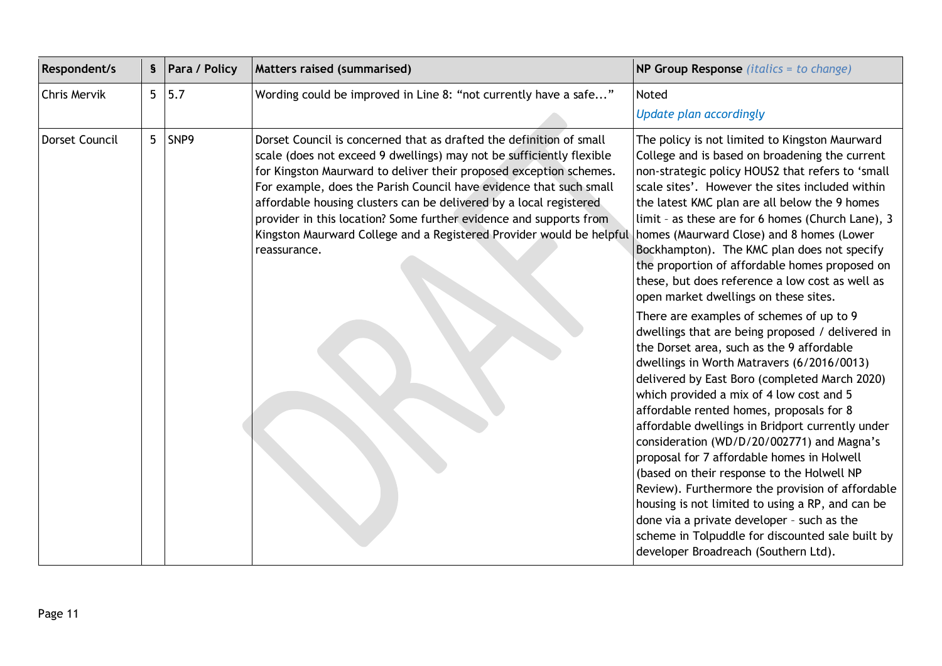| <b>Respondent/s</b>   | § Para / Policy | <b>Matters raised (summarised)</b>                                                                                                                                                                                                                                                                                                                                                                                                                                                                                          | <b>NP Group Response</b> ( <i>italics</i> = to change)                                                                                                                                                                                                                                                                                                                                                                                                                                                                                                                                                                                                                                                                                                                                                                                                                                                                                                                                                                                                                                                                                                                                                                                                                                                                                      |
|-----------------------|-----------------|-----------------------------------------------------------------------------------------------------------------------------------------------------------------------------------------------------------------------------------------------------------------------------------------------------------------------------------------------------------------------------------------------------------------------------------------------------------------------------------------------------------------------------|---------------------------------------------------------------------------------------------------------------------------------------------------------------------------------------------------------------------------------------------------------------------------------------------------------------------------------------------------------------------------------------------------------------------------------------------------------------------------------------------------------------------------------------------------------------------------------------------------------------------------------------------------------------------------------------------------------------------------------------------------------------------------------------------------------------------------------------------------------------------------------------------------------------------------------------------------------------------------------------------------------------------------------------------------------------------------------------------------------------------------------------------------------------------------------------------------------------------------------------------------------------------------------------------------------------------------------------------|
| <b>Chris Mervik</b>   | 5 5.7           | Wording could be improved in Line 8: "not currently have a safe"                                                                                                                                                                                                                                                                                                                                                                                                                                                            | Noted<br>Update plan accordingly                                                                                                                                                                                                                                                                                                                                                                                                                                                                                                                                                                                                                                                                                                                                                                                                                                                                                                                                                                                                                                                                                                                                                                                                                                                                                                            |
| <b>Dorset Council</b> | 5 SNP9          | Dorset Council is concerned that as drafted the definition of small<br>scale (does not exceed 9 dwellings) may not be sufficiently flexible<br>for Kingston Maurward to deliver their proposed exception schemes.<br>For example, does the Parish Council have evidence that such small<br>affordable housing clusters can be delivered by a local registered<br>provider in this location? Some further evidence and supports from<br>Kingston Maurward College and a Registered Provider would be helpful<br>reassurance. | The policy is not limited to Kingston Maurward<br>College and is based on broadening the current<br>non-strategic policy HOUS2 that refers to 'small<br>scale sites'. However the sites included within<br>the latest KMC plan are all below the 9 homes<br>limit - as these are for 6 homes (Church Lane), 3<br>homes (Maurward Close) and 8 homes (Lower<br>Bockhampton). The KMC plan does not specify<br>the proportion of affordable homes proposed on<br>these, but does reference a low cost as well as<br>open market dwellings on these sites.<br>There are examples of schemes of up to 9<br>dwellings that are being proposed / delivered in<br>the Dorset area, such as the 9 affordable<br>dwellings in Worth Matravers (6/2016/0013)<br>delivered by East Boro (completed March 2020)<br>which provided a mix of 4 low cost and 5<br>affordable rented homes, proposals for 8<br>affordable dwellings in Bridport currently under<br>consideration (WD/D/20/002771) and Magna's<br>proposal for 7 affordable homes in Holwell<br>(based on their response to the Holwell NP<br>Review). Furthermore the provision of affordable<br>housing is not limited to using a RP, and can be<br>done via a private developer - such as the<br>scheme in Tolpuddle for discounted sale built by<br>developer Broadreach (Southern Ltd). |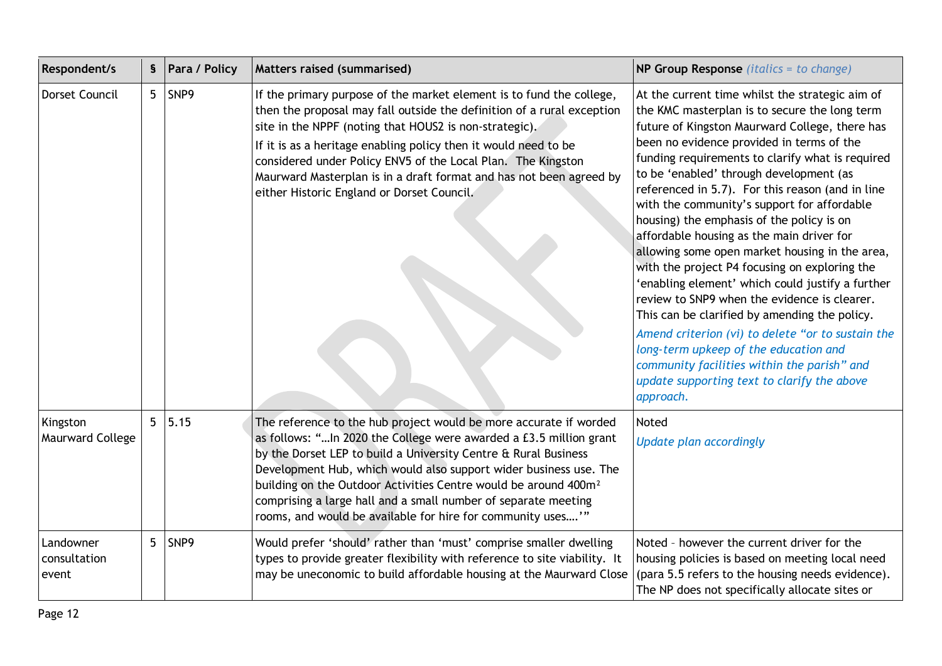| Respondent/s                       | S              | Para / Policy | Matters raised (summarised)                                                                                                                                                                                                                                                                                                                                                                                                                                                                      | <b>NP Group Response</b> ( <i>italics</i> = to change)                                                                                                                                                                                                                                                                                                                                                                                                                                                                                                                                                                                                                                                                                                                                                                                                                                                                                                       |
|------------------------------------|----------------|---------------|--------------------------------------------------------------------------------------------------------------------------------------------------------------------------------------------------------------------------------------------------------------------------------------------------------------------------------------------------------------------------------------------------------------------------------------------------------------------------------------------------|--------------------------------------------------------------------------------------------------------------------------------------------------------------------------------------------------------------------------------------------------------------------------------------------------------------------------------------------------------------------------------------------------------------------------------------------------------------------------------------------------------------------------------------------------------------------------------------------------------------------------------------------------------------------------------------------------------------------------------------------------------------------------------------------------------------------------------------------------------------------------------------------------------------------------------------------------------------|
| Dorset Council                     | 5 <sup>1</sup> | SNP9          | If the primary purpose of the market element is to fund the college,<br>then the proposal may fall outside the definition of a rural exception<br>site in the NPPF (noting that HOUS2 is non-strategic).<br>If it is as a heritage enabling policy then it would need to be<br>considered under Policy ENV5 of the Local Plan. The Kingston<br>Maurward Masterplan is in a draft format and has not been agreed by<br>either Historic England or Dorset Council.                                 | At the current time whilst the strategic aim of<br>the KMC masterplan is to secure the long term<br>future of Kingston Maurward College, there has<br>been no evidence provided in terms of the<br>funding requirements to clarify what is required<br>to be 'enabled' through development (as<br>referenced in 5.7). For this reason (and in line<br>with the community's support for affordable<br>housing) the emphasis of the policy is on<br>affordable housing as the main driver for<br>allowing some open market housing in the area,<br>with the project P4 focusing on exploring the<br>'enabling element' which could justify a further<br>review to SNP9 when the evidence is clearer.<br>This can be clarified by amending the policy.<br>Amend criterion (vi) to delete "or to sustain the<br>long-term upkeep of the education and<br>community facilities within the parish" and<br>update supporting text to clarify the above<br>approach. |
| Kingston<br>Maurward College       | 5 <sup>1</sup> | 5.15          | The reference to the hub project would be more accurate if worded<br>as follows: " In 2020 the College were awarded a £3.5 million grant<br>by the Dorset LEP to build a University Centre & Rural Business<br>Development Hub, which would also support wider business use. The<br>building on the Outdoor Activities Centre would be around 400m <sup>2</sup><br>comprising a large hall and a small number of separate meeting<br>rooms, and would be available for hire for community uses'" | Noted<br>Update plan accordingly                                                                                                                                                                                                                                                                                                                                                                                                                                                                                                                                                                                                                                                                                                                                                                                                                                                                                                                             |
| Landowner<br>consultation<br>event | 5 <sup>1</sup> | SNP9          | Would prefer 'should' rather than 'must' comprise smaller dwelling<br>types to provide greater flexibility with reference to site viability. It<br>may be uneconomic to build affordable housing at the Maurward Close                                                                                                                                                                                                                                                                           | Noted - however the current driver for the<br>housing policies is based on meeting local need<br>(para 5.5 refers to the housing needs evidence).<br>The NP does not specifically allocate sites or                                                                                                                                                                                                                                                                                                                                                                                                                                                                                                                                                                                                                                                                                                                                                          |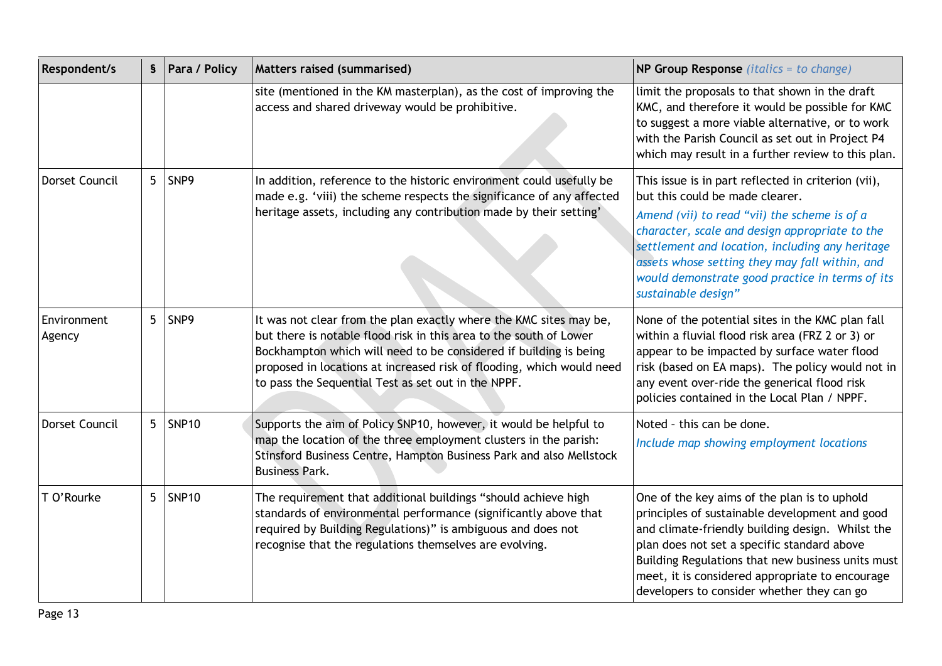| Respondent/s          | S | Para / Policy | <b>Matters raised (summarised)</b>                                                                                                                                                                                                                                                                                                            | <b>NP Group Response</b> <i>(italics = to change)</i>                                                                                                                                                                                                                                                                                                                   |
|-----------------------|---|---------------|-----------------------------------------------------------------------------------------------------------------------------------------------------------------------------------------------------------------------------------------------------------------------------------------------------------------------------------------------|-------------------------------------------------------------------------------------------------------------------------------------------------------------------------------------------------------------------------------------------------------------------------------------------------------------------------------------------------------------------------|
|                       |   |               | site (mentioned in the KM masterplan), as the cost of improving the<br>access and shared driveway would be prohibitive.                                                                                                                                                                                                                       | limit the proposals to that shown in the draft<br>KMC, and therefore it would be possible for KMC<br>to suggest a more viable alternative, or to work<br>with the Parish Council as set out in Project P4<br>which may result in a further review to this plan.                                                                                                         |
| Dorset Council        |   | 5 SNP9        | In addition, reference to the historic environment could usefully be<br>made e.g. 'viii) the scheme respects the significance of any affected<br>heritage assets, including any contribution made by their setting'                                                                                                                           | This issue is in part reflected in criterion (vii),<br>but this could be made clearer.<br>Amend (vii) to read "vii) the scheme is of a<br>character, scale and design appropriate to the<br>settlement and location, including any heritage<br>assets whose setting they may fall within, and<br>would demonstrate good practice in terms of its<br>sustainable design" |
| Environment<br>Agency |   | 5 SNP9        | It was not clear from the plan exactly where the KMC sites may be,<br>but there is notable flood risk in this area to the south of Lower<br>Bockhampton which will need to be considered if building is being<br>proposed in locations at increased risk of flooding, which would need<br>to pass the Sequential Test as set out in the NPPF. | None of the potential sites in the KMC plan fall<br>within a fluvial flood risk area (FRZ 2 or 3) or<br>appear to be impacted by surface water flood<br>risk (based on EA maps). The policy would not in<br>any event over-ride the generical flood risk<br>policies contained in the Local Plan / NPPF.                                                                |
| <b>Dorset Council</b> |   | 5 SNP10       | Supports the aim of Policy SNP10, however, it would be helpful to<br>map the location of the three employment clusters in the parish:<br>Stinsford Business Centre, Hampton Business Park and also Mellstock<br><b>Business Park.</b>                                                                                                         | Noted - this can be done.<br>Include map showing employment locations                                                                                                                                                                                                                                                                                                   |
| T O'Rourke            |   | 5 SNP10       | The requirement that additional buildings "should achieve high<br>standards of environmental performance (significantly above that<br>required by Building Regulations)" is ambiguous and does not<br>recognise that the regulations themselves are evolving.                                                                                 | One of the key aims of the plan is to uphold<br>principles of sustainable development and good<br>and climate-friendly building design. Whilst the<br>plan does not set a specific standard above<br>Building Regulations that new business units must<br>meet, it is considered appropriate to encourage<br>developers to consider whether they can go                 |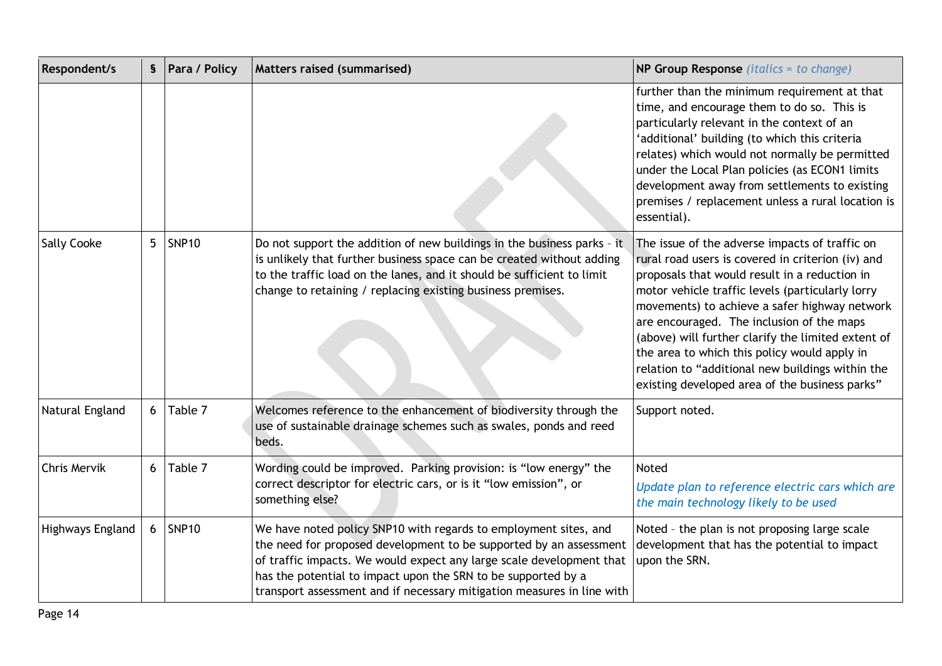| Respondent/s       | S              | Para / Policy     | Matters raised (summarised)                                                                                                                                                                                                                                                                                                                               | <b>NP Group Response</b> ( <i>italics</i> = to change)                                                                                                                                                                                                                                                                                                                                                                                                                                                             |
|--------------------|----------------|-------------------|-----------------------------------------------------------------------------------------------------------------------------------------------------------------------------------------------------------------------------------------------------------------------------------------------------------------------------------------------------------|--------------------------------------------------------------------------------------------------------------------------------------------------------------------------------------------------------------------------------------------------------------------------------------------------------------------------------------------------------------------------------------------------------------------------------------------------------------------------------------------------------------------|
|                    |                |                   |                                                                                                                                                                                                                                                                                                                                                           | further than the minimum requirement at that<br>time, and encourage them to do so. This is<br>particularly relevant in the context of an<br>'additional' building (to which this criteria<br>relates) which would not normally be permitted<br>under the Local Plan policies (as ECON1 limits<br>development away from settlements to existing<br>premises / replacement unless a rural location is<br>essential).                                                                                                 |
| <b>Sally Cooke</b> | 5              | <b>SNP10</b>      | Do not support the addition of new buildings in the business parks - it<br>is unlikely that further business space can be created without adding<br>to the traffic load on the lanes, and it should be sufficient to limit<br>change to retaining / replacing existing business premises.                                                                 | The issue of the adverse impacts of traffic on<br>rural road users is covered in criterion (iv) and<br>proposals that would result in a reduction in<br>motor vehicle traffic levels (particularly lorry<br>movements) to achieve a safer highway network<br>are encouraged. The inclusion of the maps<br>(above) will further clarify the limited extent of<br>the area to which this policy would apply in<br>relation to "additional new buildings within the<br>existing developed area of the business parks" |
| Natural England    | 6              | Table 7           | Welcomes reference to the enhancement of biodiversity through the<br>use of sustainable drainage schemes such as swales, ponds and reed<br>beds.                                                                                                                                                                                                          | Support noted.                                                                                                                                                                                                                                                                                                                                                                                                                                                                                                     |
| Chris Mervik       | 6              | Table 7           | Wording could be improved. Parking provision: is "low energy" the<br>correct descriptor for electric cars, or is it "low emission", or<br>something else?                                                                                                                                                                                                 | Noted<br>Update plan to reference electric cars which are<br>the main technology likely to be used                                                                                                                                                                                                                                                                                                                                                                                                                 |
| Highways England   | 6 <sup>1</sup> | SNP <sub>10</sub> | We have noted policy SNP10 with regards to employment sites, and<br>the need for proposed development to be supported by an assessment<br>of traffic impacts. We would expect any large scale development that<br>has the potential to impact upon the SRN to be supported by a<br>transport assessment and if necessary mitigation measures in line with | Noted - the plan is not proposing large scale<br>development that has the potential to impact<br>upon the SRN.                                                                                                                                                                                                                                                                                                                                                                                                     |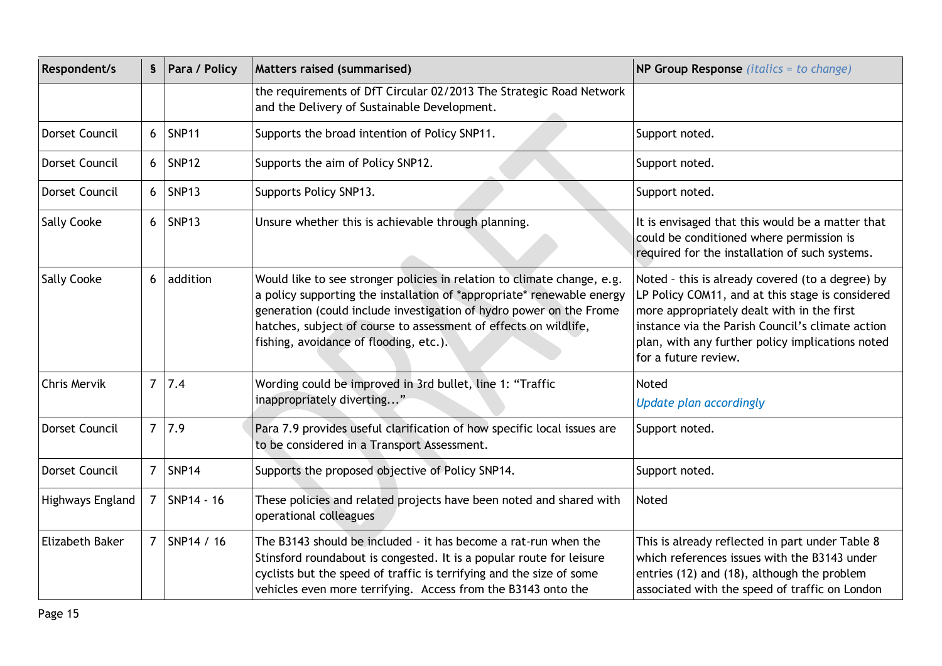| Respondent/s            | S              | Para / Policy | <b>Matters raised (summarised)</b>                                                                                                                                                                                                                                                                                                     | <b>NP Group Response</b> <i>(italics = to change)</i>                                                                                                                                                                                                                              |
|-------------------------|----------------|---------------|----------------------------------------------------------------------------------------------------------------------------------------------------------------------------------------------------------------------------------------------------------------------------------------------------------------------------------------|------------------------------------------------------------------------------------------------------------------------------------------------------------------------------------------------------------------------------------------------------------------------------------|
|                         |                |               | the requirements of DfT Circular 02/2013 The Strategic Road Network<br>and the Delivery of Sustainable Development.                                                                                                                                                                                                                    |                                                                                                                                                                                                                                                                                    |
| Dorset Council          | 6              | <b>SNP11</b>  | Supports the broad intention of Policy SNP11.                                                                                                                                                                                                                                                                                          | Support noted.                                                                                                                                                                                                                                                                     |
| Dorset Council          | 6              | <b>SNP12</b>  | Supports the aim of Policy SNP12.                                                                                                                                                                                                                                                                                                      | Support noted.                                                                                                                                                                                                                                                                     |
| Dorset Council          | 6              | <b>SNP13</b>  | Supports Policy SNP13.                                                                                                                                                                                                                                                                                                                 | Support noted.                                                                                                                                                                                                                                                                     |
| <b>Sally Cooke</b>      | 6              | <b>SNP13</b>  | Unsure whether this is achievable through planning.                                                                                                                                                                                                                                                                                    | It is envisaged that this would be a matter that<br>could be conditioned where permission is<br>required for the installation of such systems.                                                                                                                                     |
| <b>Sally Cooke</b>      | 6              | addition      | Would like to see stronger policies in relation to climate change, e.g.<br>a policy supporting the installation of *appropriate* renewable energy<br>generation (could include investigation of hydro power on the Frome<br>hatches, subject of course to assessment of effects on wildlife,<br>fishing, avoidance of flooding, etc.). | Noted - this is already covered (to a degree) by<br>LP Policy COM11, and at this stage is considered<br>more appropriately dealt with in the first<br>instance via the Parish Council's climate action<br>plan, with any further policy implications noted<br>for a future review. |
| Chris Mervik            | $\overline{7}$ | 7.4           | Wording could be improved in 3rd bullet, line 1: "Traffic<br>inappropriately diverting"                                                                                                                                                                                                                                                | Noted<br>Update plan accordingly                                                                                                                                                                                                                                                   |
| Dorset Council          | $\overline{7}$ | 7.9           | Para 7.9 provides useful clarification of how specific local issues are<br>to be considered in a Transport Assessment.                                                                                                                                                                                                                 | Support noted.                                                                                                                                                                                                                                                                     |
| Dorset Council          | $\overline{7}$ | <b>SNP14</b>  | Supports the proposed objective of Policy SNP14.                                                                                                                                                                                                                                                                                       | Support noted.                                                                                                                                                                                                                                                                     |
| <b>Highways England</b> | $\overline{7}$ | SNP14 - 16    | These policies and related projects have been noted and shared with<br>operational colleagues                                                                                                                                                                                                                                          | Noted                                                                                                                                                                                                                                                                              |
| <b>Elizabeth Baker</b>  | 7              | SNP14 / 16    | The B3143 should be included - it has become a rat-run when the<br>Stinsford roundabout is congested. It is a popular route for leisure<br>cyclists but the speed of traffic is terrifying and the size of some<br>vehicles even more terrifying. Access from the B3143 onto the                                                       | This is already reflected in part under Table 8<br>which references issues with the B3143 under<br>entries (12) and (18), although the problem<br>associated with the speed of traffic on London                                                                                   |